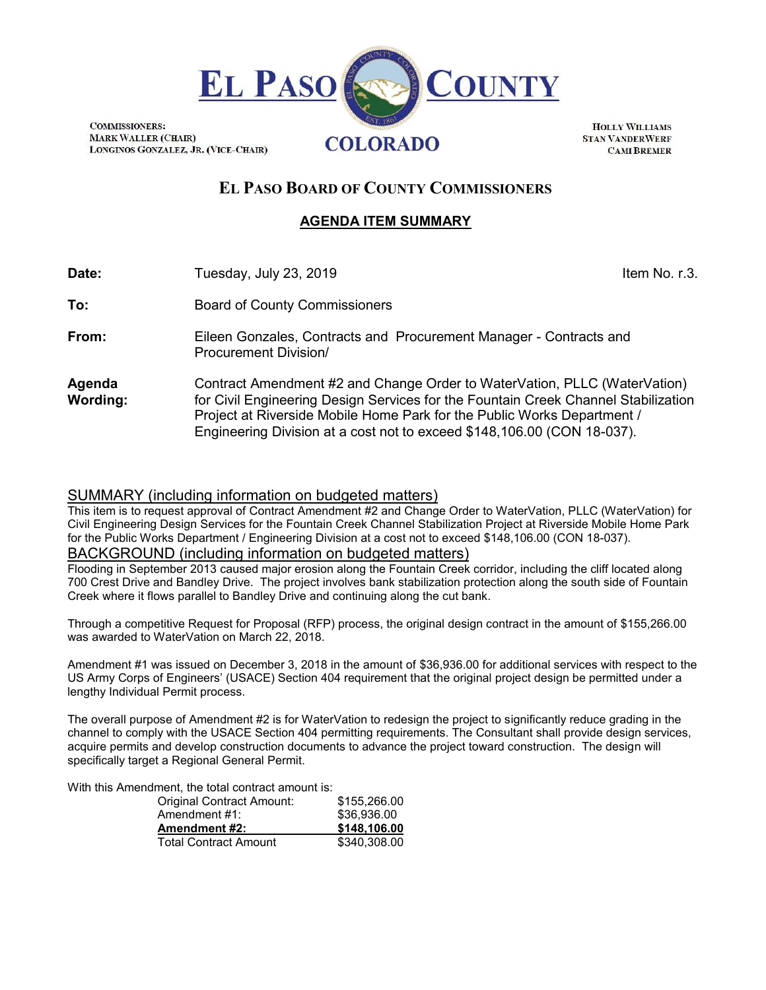

**HOLLY WILLIAMS STAN VANDERWERF CAMEREMER** 

# **EL PASO BOARD OF COUNTY COMMISSIONERS**

### **AGENDA ITEM SUMMARY**

| Date:                     | Tuesday, July 23, 2019                                                                                                                                                                                                                                                                                                | Item No. r.3. |
|---------------------------|-----------------------------------------------------------------------------------------------------------------------------------------------------------------------------------------------------------------------------------------------------------------------------------------------------------------------|---------------|
| To:                       | <b>Board of County Commissioners</b>                                                                                                                                                                                                                                                                                  |               |
| From:                     | Eileen Gonzales, Contracts and Procurement Manager - Contracts and<br><b>Procurement Division/</b>                                                                                                                                                                                                                    |               |
| Agenda<br><b>Wording:</b> | Contract Amendment #2 and Change Order to WaterVation, PLLC (WaterVation)<br>for Civil Engineering Design Services for the Fountain Creek Channel Stabilization<br>Project at Riverside Mobile Home Park for the Public Works Department /<br>Engineering Division at a cost not to exceed \$148,106.00 (CON 18-037). |               |

#### SUMMARY (including information on budgeted matters)

**COMMISSIONERS:** 

This item is to request approval of Contract Amendment #2 and Change Order to WaterVation, PLLC (WaterVation) for Civil Engineering Design Services for the Fountain Creek Channel Stabilization Project at Riverside Mobile Home Park for the Public Works Department / Engineering Division at a cost not to exceed \$148,106.00 (CON 18-037). BACKGROUND (including information on budgeted matters)

Flooding in September 2013 caused major erosion along the Fountain Creek corridor, including the cliff located along 700 Crest Drive and Bandley Drive. The project involves bank stabilization protection along the south side of Fountain Creek where it flows parallel to Bandley Drive and continuing along the cut bank.

Through a competitive Request for Proposal (RFP) process, the original design contract in the amount of \$155,266.00 was awarded to WaterVation on March 22, 2018.

Amendment #1 was issued on December 3, 2018 in the amount of \$36,936.00 for additional services with respect to the US Army Corps of Engineers' (USACE) Section 404 requirement that the original project design be permitted under a lengthy Individual Permit process.

The overall purpose of Amendment #2 is for WaterVation to redesign the project to significantly reduce grading in the channel to comply with the USACE Section 404 permitting requirements. The Consultant shall provide design services, acquire permits and develop construction documents to advance the project toward construction. The design will specifically target a Regional General Permit.

With this Amendment, the total contract amount is:

| Original Contract Amount:    | \$155,266.00 |
|------------------------------|--------------|
| Amendment #1:                | \$36,936,00  |
| <b>Amendment #2:</b>         | \$148,106.00 |
| <b>Total Contract Amount</b> | \$340,308.00 |